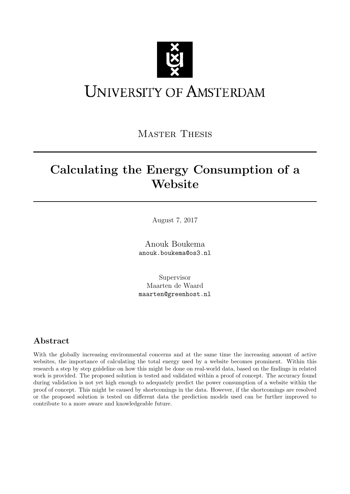

# **UNIVERSITY OF AMSTERDAM**

MASTER THESIS

## Calculating the Energy Consumption of a Website

August 7, 2017

Anouk Boukema anouk.boukema@os3.nl

Supervisor Maarten de Waard maarten@greenhost.nl

## Abstract

With the globally increasing environmental concerns and at the same time the increasing amount of active websites, the importance of calculating the total energy used by a website becomes prominent. Within this research a step by step guideline on how this might be done on real-world data, based on the findings in related work is provided. The proposed solution is tested and validated within a proof of concept. The accuracy found during validation is not yet high enough to adequately predict the power consumption of a website within the proof of concept. This might be caused by shortcomings in the data. However, if the shortcomings are resolved or the proposed solution is tested on different data the prediction models used can be further improved to contribute to a more aware and knowledgeable future.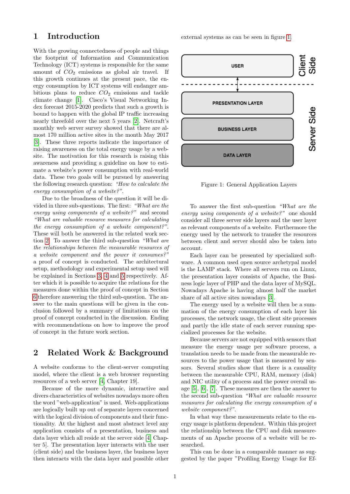## 1 Introduction

With the growing connectedness of people and things the footprint of Information and Communication Technology (ICT) systems is responsible for the same amount of  $CO<sub>2</sub>$  emissions as global air travel. If this growth continues at the present pace, the energy consumption by ICT systems will endanger ambitious plans to reduce  $CO<sub>2</sub>$  emissions and tackle climate change [\[1\]](#page-9-0). Cisco's Visual Networking Index forecast 2015-2020 predicts that such a growth is bound to happen with the global IP traffic increasing nearly threefold over the next 5 years [\[2\]](#page-9-1). Netcraft's monthly web server survey showed that there are almost 170 million active sites in the month May 2017 [\[3\]](#page-9-2). These three reports indicate the importance of raising awareness on the total energy usage by a website. The motivation for this research is raising this awareness and providing a guideline on how to estimate a website's power consumption with real-world data. These two goals will be pursued by answering the following research question: "How to calculate the energy consumption of a website?".

Due to the broadness of the question it will be divided in three sub-questions. The first: "What are the energy using components of a website?" and second "What are valuable resource measures for calculating the energy consumption of a website component?". These will both be answered in the related work section [2.](#page-1-0) To answer the third sub-question "What are the relationships between the measurable resources of a website component and the power it consumes?" a proof of concept is conducted. The architectural setup, methodology and experimental setup used will be explained in Sections [3,](#page-2-0) [4](#page-2-1) and [5](#page-4-0) respectively. After which it is possible to acquire the relations for the measures done within the proof of concept in Section [6](#page-5-0) therefore answering the third sub-question. The answer to the main questions will be given in the conclusion followed by a summary of limitations on the proof of concept conducted in the discussion. Ending with recommendations on how to improve the proof of concept in the future work section.

## <span id="page-1-0"></span>2 Related Work & Background

A website conforms to the client-server computing model, where the client is a web browser requesting resources of a web server [\[4,](#page-9-3) Chapter 19].

Because of the more dynamic, interactive and divers characteristics of websites nowadays more often the word "web-application" is used. Web-applications are logically built up out of separate layers concerned with the logical division of components and their functionality. At the highest and most abstract level any application consists of a presentation, business and data layer which all reside at the server side [\[4,](#page-9-3) Chapter 5]. The presentation layer interacts with the user (client side) and the business layer, the business layer then interacts with the data layer and possible other

external systems as can be seen in figure [1.](#page-1-1)



<span id="page-1-1"></span>Figure 1: General Application Layers

To answer the first sub-question "What are the energy using components of a website?" one should consider all three server side layers and the user layer as relevant components of a website. Furthermore the energy used by the network to transfer the resources between client and server should also be taken into account.

Each layer can be presented by specialized software. A common used open source archetypal model is the LAMP stack. Where all servers run on Linux, the presentation layer consists of Apache, the Business logic layer of PHP and the data layer of MySQL. Nowadays Apache is having almost half the market share of all active sites nowadays [\[3\]](#page-9-2).

The energy used by a website will then be a summation of the energy consumption of each layer his processes, the network usage, the client site processes and partly the idle state of each server running specialized processes for the website.

Because servers are not equipped with sensors that measure the energy usage per software process, a translation needs to be made from the measurable resources to the power usage that is measured by sensors. Several studies show that there is a causality between the measurable CPU, RAM, memory (disk) and NIC utility of a process and the power overall usage [\[5\]](#page-9-4), [\[6\]](#page-9-5), [\[7\]](#page-9-6). These measures are then the answer to the second sub-question "What are valuable resource measures for calculating the energy consumption of a website component?".

In what way these measurements relate to the energy usage is platform dependent. Within this project the relationship between the CPU and disk measurements of an Apache process of a website will be researched.

This can be done in a comparable manner as suggested by the paper "Profiling Energy Usage for Ef-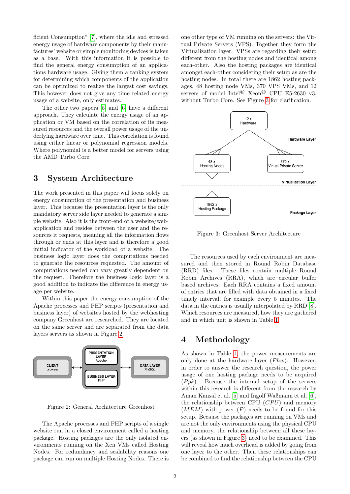ficient Consumption" [\[7\]](#page-9-6), where the idle and stressed energy usage of hardware components by their manufactures' website or simple monitoring devices is taken as a base. With this information it is possible to find the general energy consumption of an applications hardware usage. Giving them a ranking system for determining which components of the application can be optimized to realize the largest cost savings. This however does not give any time related energy usage of a website, only estimates.

The other two papers [\[5\]](#page-9-4) and [\[6\]](#page-9-5) have a different approach. They calculate the energy usage of an application or VM based on the correlation of its measured resources and the overall power usage of the underlying hardware over time. This correlation is found using either linear or polynomial regression models. Where polynomial is a better model for servers using the AMD Turbo Core.

## <span id="page-2-0"></span>3 System Architecture

The work presented in this paper will focus solely on energy consumption of the presentation and business layer. This because the presentation layer is the only mandatory server side layer needed to generate a simple website. Also it is the front-end of a website/webapplication and resides between the user and the resources it requests, meaning all the information flows through or ends at this layer and is therefore a good initial indicator of the workload of a website. The business logic layer does the computations needed to generate the resources requested. The amount of computations needed can vary greatly dependent on the request. Therefore the business logic layer is a good addition to indicate the difference in energy usage per website.

Within this paper the energy consumption of the Apache processes and PHP scripts (presentation and business layer) of websites hosted by the webhosting company Greenhost are researched. They are located on the same server and are separated from the data layers servers as shown in Figure [2.](#page-2-2)



<span id="page-2-2"></span>Figure 2: General Architecture Greenhost

The Apache processes and PHP scripts of a single website run in a closed environment called a hosting package. Hosting packages are the only isolated environments running on the Xen VMs called Hosting Nodes. For redundancy and scalability reasons one package can run on multiple Hosting Nodes. There is one other type of VM running on the servers: the Virtual Private Servers (VPS). Together they form the Virtualization layer. VPSs are regarding their setup different from the hosting nodes and identical among each-other. Also the hosting packages are identical amongst each-other considering their setup as are the hosting nodes. In total there are 1862 hosting packages, 48 hosting node VMs, 370 VPS VMs, and 12 servers of model Intel<sup>®</sup> Xeon<sup>®</sup> CPU E5-2630 v3, without Turbo Core. See Figure [3](#page-2-3) for clarification.



<span id="page-2-3"></span>Figure 3: Greenhost Server Architecture

The resources used by each environment are measured and then stored in Round Robin Database (RRD) files. These files contain multiple Round Robin Archives (RRA), which are circular buffer based archives. Each RRA contains a fixed amount of entries that are filled with data obtained in a fixed timely interval, for example every 5 minutes. The data in the entries is usually interpolated by RRD [\[8\]](#page-9-7). Which resources are measured, how they are gathered and in which unit is shown in Table [1.](#page-3-0)

## <span id="page-2-1"></span>4 Methodology

As shown in Table [1,](#page-3-0) the power measurements are only done at the hardware layer  $(Phw)$ . However, in order to answer the research question, the power usage of one hosting package needs to be acquired  $(Ppk)$ . Because the internal setup of the servers within this research is different from the research by Aman Kansal et al. [\[5\]](#page-9-4) and Ingolf Waßmann et al. [\[6\]](#page-9-5), the relationship between CPU  $(CPU)$  and memory  $(MEM)$  with power  $(P)$  needs to be found for this setup. Because the packages are running on VMs and are not the only environments using the physical CPU and memory, the relationship between all these layers (as shown in Figure [3\)](#page-2-3) need to be examined. This will reveal how much overhead is added by going from one layer to the other. Then these relationships can be combined to find the relationship between the CPU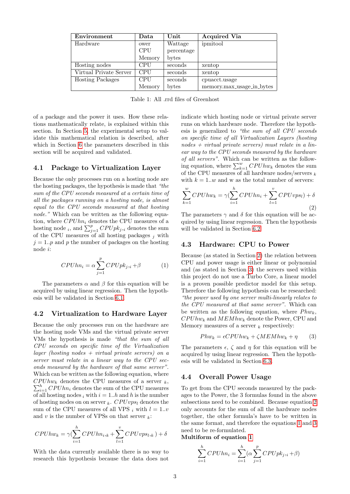| Environment             | Data       | Unit       | <b>Acquired Via</b>       |
|-------------------------|------------|------------|---------------------------|
| Hardware                | ower       | Wattage    | ipmitool                  |
|                         | <b>CPU</b> | percentage |                           |
|                         | Memory     | bytes      |                           |
| Hosting nodes           | <b>CPU</b> | seconds    | xentop                    |
| Virtual Private Server  | <b>CPU</b> | seconds    | xentop                    |
| <b>Hosting Packages</b> | <b>CPU</b> | seconds    | cpuacct.usage             |
|                         | Memory     | bytes      | memory.max_usage_in_bytes |

Table 1: All .rrd files of Greenhost

of a package and the power it uses. How these relations mathematically relate, is explained within this section. In Section [5,](#page-4-0) the experimental setup to validate this mathematical relation is described, after which in Section [6](#page-5-0) the parameters described in this section will be acquired and validated.

#### <span id="page-3-6"></span>4.1 Package to Virtualization Layer

Because the only processes run on a hosting node are the hosting packages, the hypothesis is made that "the sum of the CPU seconds measured at a certain time of all the packages running on a hosting node, is almost equal to the CPU seconds measured at that hosting node." Which can be written as the following equation, where  $CPUhn_i$  denotes the CPU measures of a hosting node *i*, and  $\sum_{j=1}^{p} CPUpk_{j,i}$  denotes the sum of the CPU measures of all hosting packages  $_i$  with  $j = 1..p$  and p the number of packages on the hosting node i:

<span id="page-3-2"></span>
$$
CPUhn_i = \alpha \sum_{j=1}^{p} CPUpk_{j,i} + \beta
$$
 (1)

The parameters  $\alpha$  and  $\beta$  for this equation will be acquired by using linear regression. Then the hypothesis will be validated in Section [6.1.](#page-5-1)

#### 4.2 Virtualization to Hardware Layer

Because the only processes run on the hardware are the hosting node VMs and the virtual private server VMs the hypothesis is made "that the sum of all CPU seconds on specific time of the Virtualization layer (hosting nodes  $+$  virtual private servers) on a server must relate in a linear way to the CPU seconds measured by the hardware of that same server". Which can be written as the following equation, where  $CPUhw_k$  denotes the CPU measures of a server  $_k$ ,  $\sum_{i=1}^{h} CPUhn_i$  denotes the sum of the CPU measures of all hosting nodes i with  $i = 1..h$  and h is the number of hosting nodes on on server  $_k$ . CPUvps<sub>l</sub> denotes the sum of the CPU measures of all VPS i with  $l = 1..v$ and v is the number of VPSs on that server  $_k$ :

$$
CPUhw_k = \gamma(\sum_{i=1}^{h} CPUhn_{i,k} + \sum_{l=1}^{v} CPUvps_{l,k}) + \delta
$$

With the data currently available there is no way to research this hypothesis because the data does not

<span id="page-3-0"></span>indicate which hosting node or virtual private server runs on which hardware node. Therefore the hypothesis is generalized to "the sum of all CPU seconds on specific time of all Virtualization Layers (hosting  $nodes + virtual private servers) must relate in a lin$ ear way to the CPU seconds measured by the hardware of all servers". Which can be written as the following equation, where  $\sum_{k=1}^{w} CPUhw_k$  denotes the sum of the CPU measures of all hardware nodes/servers  $_k$ with  $k = 1...w$  and w as the total number of servers:

$$
\sum_{k=1}^{w} CPUhw_k = \gamma(\sum_{i=1}^{h} CPUhn_i + \sum_{l=1}^{v} CPUvps_l) + \delta
$$
\n(2)

The parameters  $\gamma$  and  $\delta$  for this equation will be acquired by using linear regression. Then the hypothesis will be validated in Section [6.2.](#page-6-0)

#### <span id="page-3-4"></span>4.3 Hardware: CPU to Power

Because (as stated in Section [2\)](#page-1-0) the relation between CPU and power usage is either linear or polynomial and (as stated in Section [3\)](#page-2-0) the servers used within this project do not use a Turbo Core, a linear model is a proven possible predictor model for this setup. Therefore the following hypothesis can be researched: "the power used by one server multi-linearly relates to the CPU measured at that same server". Which can be written as the following equation, where  $Phw_k$ ,  $CPUhw_k$  and  $MEMhw_k$  denote the Power, CPU and Memory measures of a server  $\kappa$  respectively:

<span id="page-3-3"></span>
$$
Phw_k = \epsilon CPUhw_k + \zeta MEMhw_k + \eta \tag{3}
$$

The parameters  $\epsilon$ ,  $\zeta$  and  $\eta$  for this equation will be acquired by using linear regression. Then the hypothesis will be validated in Section [6.3.](#page-6-1)

#### <span id="page-3-5"></span>4.4 Overall Power Usage

To get from the CPU seconds measured by the packages to the Power, the 3 formulas found in the above subsections need to be combined. Because equation [2](#page-3-1) only accounts for the sum of all the hardware nodes together, the other formula's have to be written in the same format, and therefore the equations [1](#page-3-2) and [3](#page-3-3) need to be re-formulated.

<span id="page-3-1"></span>Multiform of equation [1](#page-3-2)

$$
\sum_{i=1}^{h} CPUh_{ni} = \sum_{i=1}^{h} (\alpha \sum_{j=1}^{p} CPUp_{ni} + \beta)
$$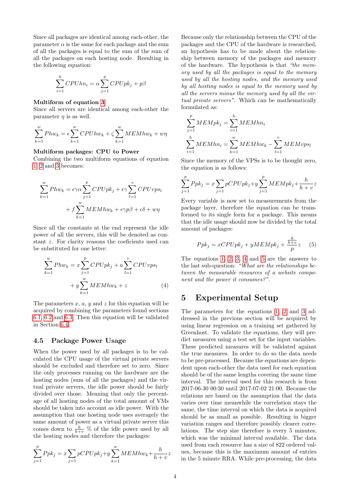Since all packages are identical among each-other, the parameter  $\alpha$  is the same for each package and the sum of all the packages is equal to the sum of the sum of all the packages on each hosting node. Resulting in the following equation:

$$
\sum_{i=1}^{h} CPUhn_i = \alpha \sum_{j=1}^{p} CPUpk_j + p\beta
$$

#### Multiform of equation [3](#page-3-3)

Since all servers are identical among each-other the parameter  $\eta$  is as well.

$$
\sum_{k=1}^{w} Phw_k = \epsilon \sum_{k=1}^{w} CPUhw_k + \zeta \sum_{k=1}^{w} MEMhw_k + w\eta
$$

#### Multiform packages: CPU to Power

Combining the two multiform equations of equation [1,](#page-3-2) [2](#page-3-1) and [3](#page-3-3) becomes:

$$
\sum_{k=1}^{w} Phw_k = \epsilon \gamma \alpha \sum_{j=1}^{p} CPUpk_j + \epsilon \gamma \sum_{l=1}^{v} CPUvps_l
$$

$$
+ f \sum_{k=1}^{w} MEMhw_k + \epsilon \gamma p\beta + \epsilon \delta + w\eta
$$

Since all the constants at the end represent the idle power of all the servers, this will be denoted as constant z. For clarity reasons the coeficients used can be substituted for one letter:

$$
\sum_{k=1}^{w} Phw_k = x \sum_{j=1}^{p} CPUpk_j + a \sum_{l=1}^{v} CPUvps_l
$$

$$
+ y \sum_{k=1}^{w} MEMhw_k + z
$$
(4)

The parameters  $x, a, y$  and  $z$  for this equation will be acquired by combining the parameters found sections [6.1,](#page-5-1) [6.2](#page-6-0) and [6.3.](#page-6-1) Then this equation will be validated in Section [6.4.](#page-7-0)

#### <span id="page-4-3"></span>4.5 Package Power Usage

When the power used by all packages is to be calculated the CPU usage of the virtual private servers should be excluded and therefore set to zero. Since the only processes running on the hardware are the hosting nodes (sum of all the packages) and the virtual private servers, the idle power should be fairly divided over those. Meaning that only the percentage of all hosting nodes of the total amount of VMs should be taken into account as idle power. With the assumption that one hosting node uses averagely the same amount of power as a virtual private server this comes down to  $\frac{h}{h+v}$  % of the idle power used by all the hosting nodes and therefore the packages:

$$
\sum_{j=1}^{p} Ppk_j = x \sum_{j=1}^{p} pCPUpk_j + y \sum_{k=1}^{w} MEMhw_k + \frac{h}{h+v} z
$$

Because only the relationship between the CPU of the packages and the CPU of the hardware is researched, an hypothesis has to be made about the relationship between memory of the packages and memory of the hardware. The hypothesis is that "the memory used by all the packages is equal to the memory used by all the hosting nodes, and the memory used by all hosting nodes is equal to the memory used by all the servers minus the memory used by all the virtual private servers". Which can be mathematically formulated as:

$$
\sum_{j=1}^{p} MEMpk_j = \sum_{i=1}^{h} MEMhn_i
$$
  

$$
\sum_{i=1}^{h} MEMhn_i = \sum_{k=1}^{w} MEMhw_k - \sum_{l=1}^{v} MEMvps_l
$$

Since the memory of the VPSs is to be thought zero, the equation is as follows:

$$
\sum_{j=1}^{p} Ppk_j = x \sum_{j=1}^{p} pCPUpk_j + y \sum_{j=1}^{p} MEMpk_j + \frac{h}{h+v} z
$$

Every variable is now set to measurements from the package layer, therefore the equation can be transformed to its single form for a package. This means that the idle usage should now be divided by the total amount of packages:

<span id="page-4-2"></span>
$$
Ppk_j = xCPUpk_j + yMEMpk_j + \frac{\frac{h}{h+v}}{p}z \quad (5)
$$

The equations [1,](#page-3-2) [2,](#page-3-1) [3,](#page-3-3) [4](#page-4-1) and [5](#page-4-2) are the answers to the last sub-question: "What are the relationships between the measurable resources of a website component and the power it consumes?".

### <span id="page-4-1"></span><span id="page-4-0"></span>5 Experimental Setup

The parameters for the equations [1,](#page-3-2) [2](#page-3-1) and [3](#page-3-3) addressed in the previous section will be acquired by using linear regression on a training set gathered by Greenhost. To validate the equations, they will predict measures using a test set for the input variables. These predicted measures will be validated against the true measures. In order to do so the data needs to be pre-processed. Because the equations are dependent upon each-other the data used for each equation should be of the same lengths covering the same time interval. The interval used for this research is from 2017-06-30 00:30 until 2017-07-02 21:00. Because the relations are based on the assumption that the data varies over time meanwhile the correlation stays the same, the time interval on which the data is acquired should be as small as possible. Resulting in bigger variation ranges and therefore possibly clearer correlations. The step size therefore is every 5 minutes, which was the minimal interval available. The data used from each resource has a size of 822 ordered values, because this is the maximum amount of entries in the 5 minute RRA. While pre-processing, the data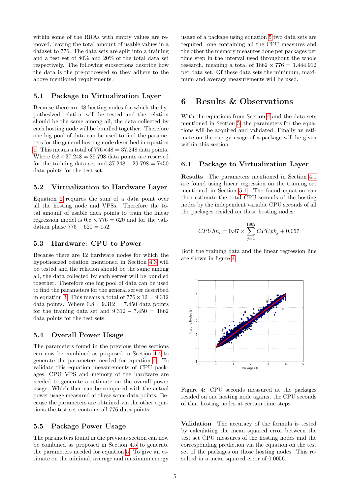within some of the RRAs with empty values are removed, leaving the total amount of usable values in a dataset to 776. The data sets are split into a training and a test set of 80% and 20% of the total data set respectively. The following subsections describe how the data is the pre-processed so they adhere to the above mentioned requirements.

#### <span id="page-5-2"></span>5.1 Package to Virtualization Layer

Because there are 48 hosting nodes for which the hypothesized relation will be tested and the relation should be the same among all, the data collected by each hosting node will be bundled together. Therefore one big pool of data can be used to find the parameters for the general hosting node described in equation [1.](#page-3-2) This means a total of  $776\times48 = 37.248$  data points. Where  $0.8 \times 37.248 = 29.798$  data points are reserved for the training data set and  $37.248 - 29.798 = 7450$ data points for the test set.

#### <span id="page-5-4"></span>5.2 Virtualization to Hardware Layer

Equation [2](#page-3-1) requires the sum of a data point over all the hosting node and VPSs. Therefore the total amount of usable data points to train the linear regression model is  $0.8 \times 776 = 620$  and for the validation phase  $776 - 620 = 152$ .

#### 5.3 Hardware: CPU to Power

Because there are 12 hardware nodes for which the hypothesized relation mentioned in Section [4.3](#page-3-4) will be tested and the relation should be the same among all, the data collected by each server will be bundled together. Therefore one big pool of data can be used to find the parameters for the general server described in equation [3.](#page-3-3) This means a total of  $776 \times 12 = 9.312$ data points. Where  $0.8 \times 9.312 = 7.450$  data points for the training data set and  $9.312 - 7.450 = 1862$ data points for the test sets.

#### <span id="page-5-5"></span>5.4 Overall Power Usage

The parameters found in the previous three sections can now be combined as proposed in Section [4.4](#page-3-5) to generate the parameters needed for equation [4.](#page-4-1) To validate this equation measurements of CPU packages, CPU VPS and memory of the hardware are needed to generate a estimate on the overall power usage. Which then can be compared with the actual power usage measured at these same data points. Because the parameters are obtained via the other equations the test set contains all 776 data points.

#### 5.5 Package Power Usage

The parameters found in the previous section can now be combined as proposed in Section [4.5](#page-4-3) to generate the parameters needed for equation [5.](#page-4-2) To give an estimate on the minimal, average and maximum energy usage of a package using equation [5](#page-4-2) two data sets are required: one containing all the CPU measures and the other the memory measures done per packages per time step in the interval used throughout the whole research, meaning a total of  $1862 \times 776 = 1.444.912$ per data set. Of these data sets the minimum, maximum and average measurements will be used.

## <span id="page-5-0"></span>6 Results & Observations

With the equations from Section [4](#page-2-1) and the data sets mentioned in Section [5,](#page-4-0) the parameters for the equations will be acquired and validated. Finally an estimate on the energy usage of a package will be given within this section.

#### <span id="page-5-1"></span>6.1 Package to Virtualization Layer

Results The parameters mentioned in Section [4.1](#page-3-6) are found using linear regression on the training set mentioned in Section [5.1.](#page-5-2) The found equation can then estimate the total CPU seconds of the hosting nodes by the independent variable CPU seconds of all the packages resided on these hosting nodes:

$$
CPUhn_i = 0.97 \times \sum_{j=1}^{1862} CPUpk_j + 0.057
$$

Both the training data and the linear regression line are shown in figure [4.](#page-5-3)



<span id="page-5-3"></span>Figure 4: CPU seconds measured at the packages resided on one hosting node against the CPU seconds of that hosting nodes at certain time steps

Validation The accuracy of the formula is tested by calculating the mean squared error between the test set CPU measures of the hosting nodes and the corresponding prediction via the equation on the test set of the packages on those hosting nodes. This resulted in a mean squared error of 0.0056.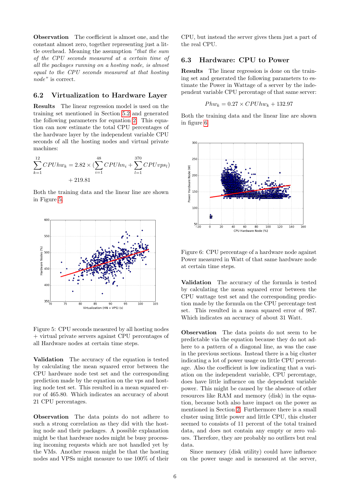Observation The coefficient is almost one, and the constant almost zero, together representing just a little overhead. Meaning the assumption "that the sum of the CPU seconds measured at a certain time of all the packages running on a hosting node, is almost equal to the CPU seconds measured at that hosting node" is correct.

#### <span id="page-6-0"></span>6.2 Virtualization to Hardware Layer

Results The linear regression model is used on the training set mentioned in Section [5.2](#page-5-4) and generated the following parameters for equation [2.](#page-3-1) This equation can now estimate the total CPU percentages of the hardware layer by the independent variable CPU seconds of all the hosting nodes and virtual private machines:

$$
\sum_{k=1}^{12} CPUhw_k = 2.82 \times \left(\sum_{i=1}^{48} CPUhn_i + \sum_{l=1}^{370} CPUvps_l\right) + 219.81
$$

Both the training data and the linear line are shown in Figure [5.](#page-6-2)



<span id="page-6-2"></span>Figure 5: CPU seconds measured by all hosting nodes + virtual private servers against CPU percentages of all Hardware nodes at certain time steps.

Validation The accuracy of the equation is tested by calculating the mean squared error between the CPU hardware node test set and the corresponding prediction made by the equation on the vps and hosting node test set. This resulted in a mean squared error of 465.80. Which indicates an accuracy of about 21 CPU percentages.

Observation The data points do not adhere to such a strong correlation as they did with the hosting node and their packages. A possible explanation might be that hardware nodes might be busy processing incoming requests which are not handled yet by the VMs. Another reason might be that the hosting nodes and VPSs might measure to use 100% of their

CPU, but instead the server gives them just a part of the real CPU.

#### <span id="page-6-1"></span>6.3 Hardware: CPU to Power

Results The linear regression is done on the training set and generated the following parameters to estimate the Power in Wattage of a server by the independent variable CPU percentage of that same server:

$$
Phw_k = 0.27 \times CPUhw_k + 132.97
$$

Both the training data and the linear line are shown in figure [6.](#page-6-3)



<span id="page-6-3"></span>Figure 6: CPU percentage of a hardware node against Power measured in Watt of that same hardware node at certain time steps.

Validation The accuracy of the formula is tested by calculating the mean squared error between the CPU wattage test set and the corresponding prediction made by the formula on the CPU percentage test set. This resulted in a mean squared error of 987. Which indicates an accuracy of about 31 Watt.

Observation The data points do not seem to be predictable via the equation because they do not adhere to a pattern of a diagonal line, as was the case in the previous sections. Instead there is a big cluster indicating a lot of power usage on little CPU percentage. Also the coefficient is low indicating that a variation on the independent variable, CPU percentage, does have little influence on the dependent variable power. This might be caused by the absence of other resources like RAM and memory (disk) in the equation, because both also have impact on the power as mentioned in Section [2.](#page-1-0) Furthermore there is a small cluster using little power and little CPU, this cluster seemed to consists of 11 percent of the total trained data, and does not contain any empty or zero values. Therefore, they are probably no outliers but real data.

Since memory (disk utility) could have influence on the power usage and is measured at the server,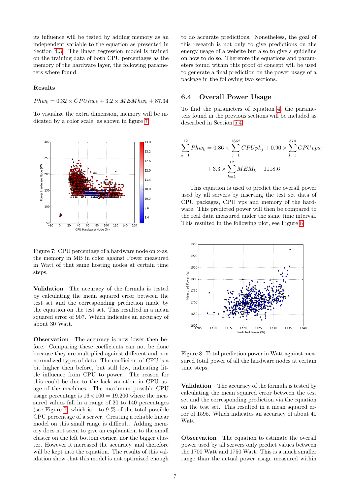its influence will be tested by adding memory as an independent variable to the equation as presented in Section [4.3.](#page-3-4) The linear regression model is trained on the training data of both CPU percentages as the memory of the hardware layer, the following parameters where found:

#### Results

 $Phw_k = 0.32 \times CPUhw_k + 3.2 \times MEMhw_k + 87.34$ 

To visualize the extra dimension, memory will be indicated by a color scale, as shown in figure [7.](#page-7-1)



<span id="page-7-1"></span>Figure 7: CPU percentage of a hardware node on x-as, the memory in MB in color against Power measured in Watt of that same hosting nodes at certain time steps.

Validation The accuracy of the formula is tested by calculating the mean squared error between the test set and the corresponding prediction made by the equation on the test set. This resulted in a mean squared error of 907. Which indicates an accuracy of about 30 Watt.

Observation The accuracy is now lower then before. Comparing these coefficients can not be done because they are multiplied against different and non normalized types of data. The coefficient of CPU is a bit higher then before, but still low, indicating little influence from CPU to power. The reason for this could be due to the lack variation in CPU usage of the machines. The maximum possible CPU usage percentage is  $16 \times 100 = 19.200$  where the measured values fall in a range of 20 to 140 percentages (see Figure [7\)](#page-7-1) which is 1 to 9  $\%$  of the total possible CPU percentage of a server. Creating a reliable linear model on this small range is difficult. Adding memory does not seem to give an explanation to the small cluster on the left bottom corner, nor the bigger cluster. However it increased the accuracy, and therefore will be kept into the equation. The results of this validation show that this model is not optimized enough

to do accurate predictions. Nonetheless, the goal of this research is not only to give predictions on the energy usage of a website but also to give a guideline on how to do so. Therefore the equations and parameters found within this proof of concept will be used to generate a final prediction on the power usage of a package in the following two sections.

#### <span id="page-7-0"></span>6.4 Overall Power Usage

To find the parameters of equation [4,](#page-4-1) the parameters found in the previous sections will be included as described in Section [5.4.](#page-5-5)

$$
\sum_{k=1}^{12} Phw_k = 0.86 \times \sum_{j=1}^{1862} CPUpk_j + 0.90 \times \sum_{l=1}^{370} CPUvps_l
$$
  
+ 3.3 × 
$$
\sum_{k=1}^{12} MEM_k + 1118.6
$$

This equation is used to predict the overall power used by all servers by inserting the test set data of CPU packages, CPU vps and memory of the hardware. This predicted power will then be compared to the real data measured under the same time interval. This resulted in the following plot, see Figure [8.](#page-7-2)



<span id="page-7-2"></span>Figure 8: Total prediction power in Watt against measured total power of all the hardware nodes at certain time steps.

Validation The accuracy of the formula is tested by calculating the mean squared error between the test set and the corresponding prediction via the equation on the test set. This resulted in a mean squared error of 1595. Which indicates an accuracy of about 40 Watt.

Observation The equation to estimate the overall power used by all servers only predict values between the 1700 Watt and 1750 Watt. This is a much smaller range than the actual power usage measured within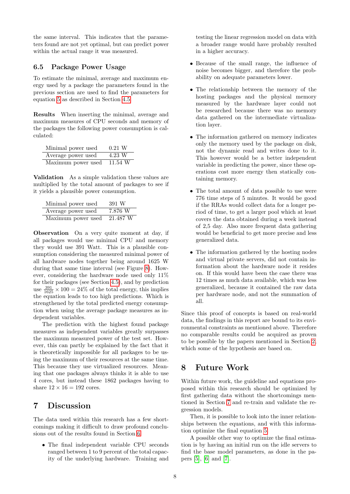the same interval. This indicates that the parameters found are not yet optimal, but can predict power within the actual range it was measured.

#### 6.5 Package Power Usage

To estimate the minimal, average and maximum energy used by a package the parameters found in the previous section are used to find the parameters for equation [5](#page-4-2) as described in Section [4.5.](#page-4-3)

Results When inserting the minimal, average and maximum measures of CPU seconds and memory of the packages the following power consumption is calculated:

| Minimal power used | $0.21$ W  |
|--------------------|-----------|
| Average power used | 4.23 W    |
| Maximum power used | $11.54$ W |

Validation As a simple validation these values are multiplied by the total amount of packages to see if it yields a plausible power consumption.

| Minimal power used | 391 W    |
|--------------------|----------|
| Average power used | 7.876 W  |
| Maximum power used | 21.487 W |

Observation On a very quite moment at day, if all packages would use minimal CPU and memory they would use 391 Watt. This is a plausible consumption considering the measured minimal power of all hardware nodes together being around 1625 W during that same time interval (see Figure [8\)](#page-7-2). However, considering the hardware node used only 11% for their packages (see Section [4.5\)](#page-4-3), and by prediction use  $\frac{391}{1625} \times 100 = 24\%$  of the total energy, this implies the equation leads to too high predictions. Which is strengthened by the total predicted energy consumption when using the average package measures as independent variables.

The prediction with the highest found package measures as independent variables greatly surpasses the maximum measured power of the test set. However, this can partly be explained by the fact that it is theoretically impossible for all packages to be using the maximum of their resources at the same time. This because they use virtualized resources. Meaning that one packages always thinks it is able to use 4 cores, but instead these 1862 packages having to share  $12 \times 16 = 192$  cores.

## <span id="page-8-0"></span>7 Discussion

The data used within this research has a few shortcomings making it difficult to draw profound conclusions out of the results found in Section [6.](#page-5-0)

• The final independent variable CPU seconds ranged between 1 to 9 percent of the total capacity of the underlying hardware. Training and testing the linear regression model on data with a broader range would have probably resulted in a higher accuracy.

- Because of the small range, the influence of noise becomes bigger, and therefore the probability on adequate parameters lower.
- The relationship between the memory of the hosting packages and the physical memory measured by the hardware layer could not be researched because there was no memory data gathered on the intermediate virtualization layer.
- The information gathered on memory indicates only the memory used by the package on disk, not the dynamic read and writes done to it. This however would be a better independent variable in predicting the power, since these operations cost more energy then statically containing memory.
- The total amount of data possible to use were 776 time steps of 5 minutes. It would be good if the RRAs would collect data for a longer period of time, to get a larger pool which at least covers the data obtained during a week instead of 2,5 day. Also more frequent data gathering would be beneficial to get more precise and less generalized data.
- The information gathered by the hosting nodes and virtual private servers, did not contain information about the hardware node it resides on. If this would have been the case there was 12 times as much data available, which was less generalized, because it contained the raw data per hardware node, and not the summation of all.

Since this proof of concepts is based on real-world data, the findings in this report are bound to its environmental constraints as mentioned above. Therefore no comparable results could be acquired as proven to be possible by the papers mentioned in Section [2,](#page-1-0) which some of the hypothesis are based on.

## 8 Future Work

Within future work, the guideline and equations proposed within this research should be optimized by first gathering data without the shortcomings mentioned in Section [7](#page-8-0) and re-train and validate the regression models.

Then, it is possible to look into the inner relationships between the equations, and with this information optimize the final equation [5.](#page-4-2)

A possible other way to optimize the final estimation is by having an initial run on the idle servers to find the base model parameters, as done in the papers [\[5\]](#page-9-4), [\[6\]](#page-9-5) and [\[7\]](#page-9-6).